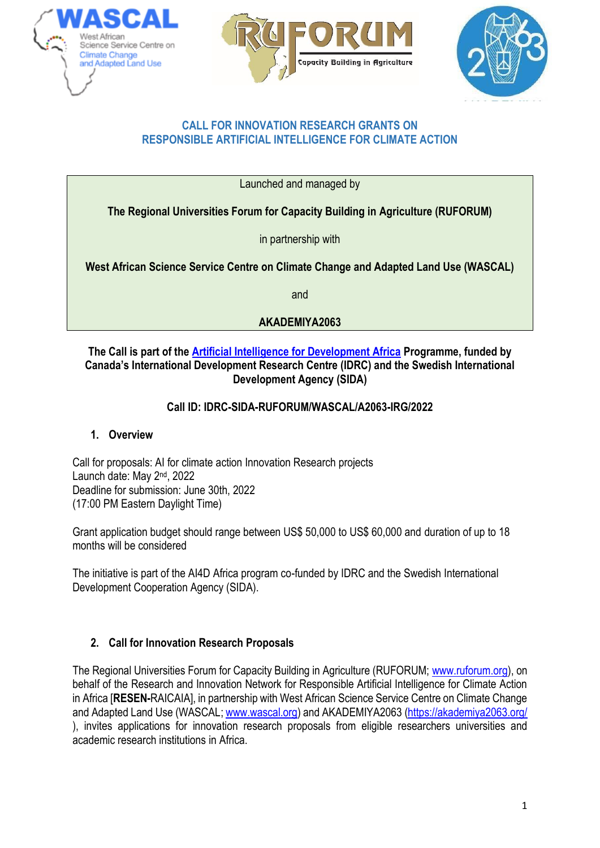





## **CALL FOR INNOVATION RESEARCH GRANTS ON RESPONSIBLE ARTIFICIAL INTELLIGENCE FOR CLIMATE ACTION**

Launched and managed by

**The Regional Universities Forum for Capacity Building in Agriculture (RUFORUM)**

in partnership with

**West African Science Service Centre on Climate Change and Adapted Land Use (WASCAL)**

and

# **AKADEMIYA2063**

# **The Call is part of the [Artificial Intelligence for Development Africa](about:blank) Programme, funded by Canada's International Development Research Centre (IDRC) and the Swedish International Development Agency (SIDA)**

# **Call ID: IDRC-SIDA-RUFORUM/WASCAL/A2063-IRG/2022**

# **1. Overview**

Call for proposals: AI for climate action Innovation Research projects Launch date: May 2<sup>nd</sup>, 2022 Deadline for submission: June 30th, 2022 (17:00 PM Eastern Daylight Time)

Grant application budget should range between US\$ 50,000 to US\$ 60,000 and duration of up to 18 months will be considered

The initiative is part of the AI4D Africa program co-funded by IDRC and the Swedish International Development Cooperation Agency (SIDA).

# **2. Call for Innovation Research Proposals**

The Regional Universities Forum for Capacity Building in Agriculture (RUFORUM; www.ruforum.org), on behalf of the Research and Innovation Network for Responsible Artificial Intelligence for Climate Action in Africa [**RESEN-**RAICAIA], in partnership with West African Science Service Centre on Climate Change and Adapted Land Use (WASCAL; [www.wascal.org\)](about:blank) and AKADEMIYA2063 [\(https://akademiya2063.org/](about:blank) ), invites applications for innovation research proposals from eligible researchers universities and academic research institutions in Africa.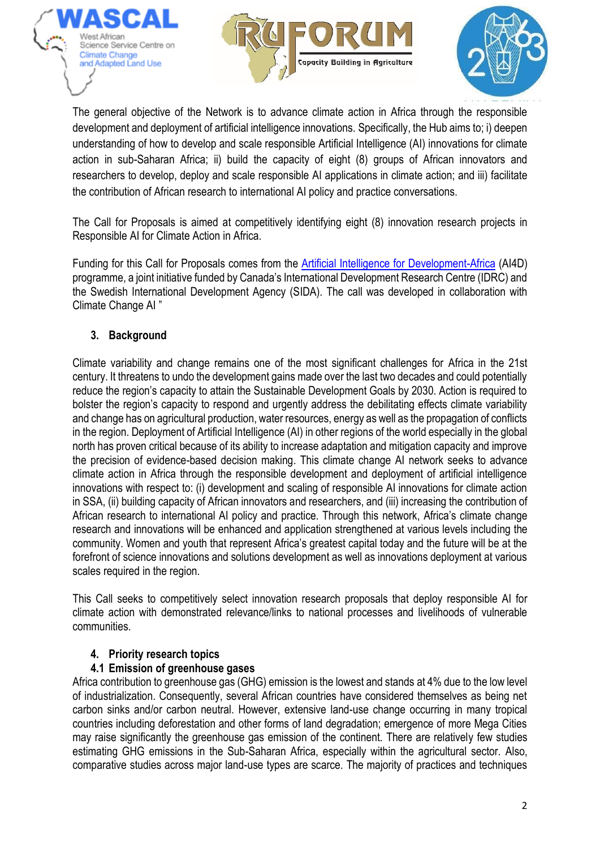





The general objective of the Network is to advance climate action in Africa through the responsible development and deployment of artificial intelligence innovations. Specifically, the Hub aims to; i) deepen understanding of how to develop and scale responsible Artificial Intelligence (AI) innovations for climate action in sub-Saharan Africa; ii) build the capacity of eight (8) groups of African innovators and researchers to develop, deploy and scale responsible AI applications in climate action; and iii) facilitate the contribution of African research to international AI policy and practice conversations.

The Call for Proposals is aimed at competitively identifying eight (8) innovation research projects in Responsible AI for Climate Action in Africa.

Funding for this Call for Proposals comes from the [Artificial Intelligence for Development-Africa](about:blank) (AI4D) programme, a joint initiative funded by Canada's International Development Research Centre (IDRC) and the Swedish International Development Agency (SIDA). The call was developed in collaboration with Climate Change AI "

# **3. Background**

Climate variability and change remains one of the most significant challenges for Africa in the 21st century. It threatens to undo the development gains made over the last two decades and could potentially reduce the region's capacity to attain the Sustainable Development Goals by 2030. Action is required to bolster the region's capacity to respond and urgently address the debilitating effects climate variability and change has on agricultural production, water resources, energy as well as the propagation of conflicts in the region. Deployment of Artificial Intelligence (AI) in other regions of the world especially in the global north has proven critical because of its ability to increase adaptation and mitigation capacity and improve the precision of evidence-based decision making. This climate change AI network seeks to advance climate action in Africa through the responsible development and deployment of artificial intelligence innovations with respect to: (i) development and scaling of responsible AI innovations for climate action in SSA, (ii) building capacity of African innovators and researchers, and (iii) increasing the contribution of African research to international AI policy and practice. Through this network, Africa's climate change research and innovations will be enhanced and application strengthened at various levels including the community. Women and youth that represent Africa's greatest capital today and the future will be at the forefront of science innovations and solutions development as well as innovations deployment at various scales required in the region.

This Call seeks to competitively select innovation research proposals that deploy responsible AI for climate action with demonstrated relevance/links to national processes and livelihoods of vulnerable communities.

# **4. Priority research topics**

# **4.1 Emission of greenhouse gases**

Africa contribution to greenhouse gas (GHG) emission is the lowest and stands at 4% due to the low level of industrialization. Consequently, several African countries have considered themselves as being net carbon sinks and/or carbon neutral. However, extensive land-use change occurring in many tropical countries including deforestation and other forms of land degradation; emergence of more Mega Cities may raise significantly the greenhouse gas emission of the continent. There are relatively few studies estimating GHG emissions in the Sub-Saharan Africa, especially within the agricultural sector. Also, comparative studies across major land-use types are scarce. The majority of practices and techniques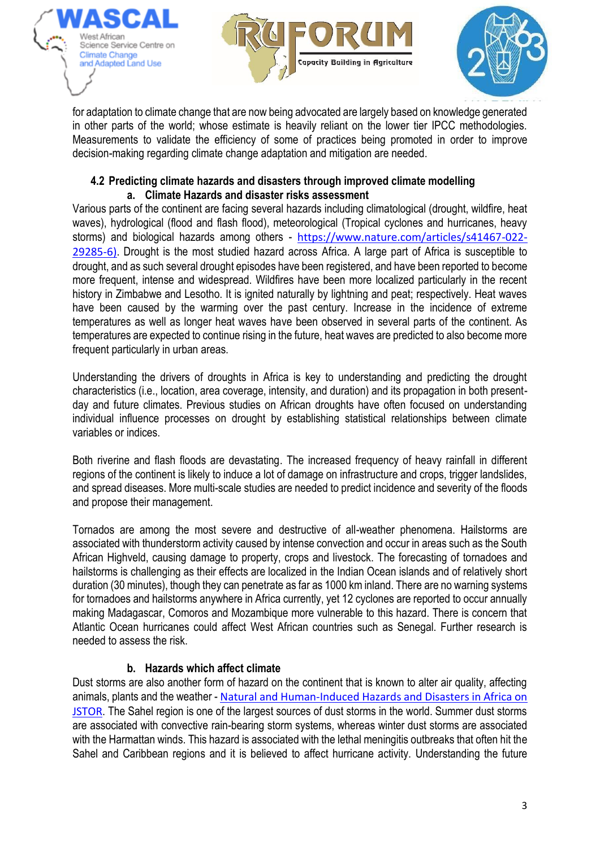





for adaptation to climate change that are now being advocated are largely based on knowledge generated in other parts of the world; whose estimate is heavily reliant on the lower tier IPCC methodologies. Measurements to validate the efficiency of some of practices being promoted in order to improve decision-making regarding climate change adaptation and mitigation are needed.

## **4.2 Predicting climate hazards and disasters through improved climate modelling a. Climate Hazards and disaster risks assessment**

Various parts of the continent are facing several hazards including climatological (drought, wildfire, heat waves), hydrological (flood and flash flood), meteorological (Tropical cyclones and hurricanes, heavy storms) and biological hazards among others - [https://www.nature.com/articles/s41467-022-](https://www.nature.com/articles/s41467-022-29285-6) [29285-6\)](https://www.nature.com/articles/s41467-022-29285-6). Drought is the most studied hazard across Africa. A large part of Africa is susceptible to drought, and as such several drought episodes have been registered, and have been reported to become more frequent, intense and widespread. Wildfires have been more localized particularly in the recent history in Zimbabwe and Lesotho. It is ignited naturally by lightning and peat; respectively. Heat waves have been caused by the warming over the past century. Increase in the incidence of extreme temperatures as well as longer heat waves have been observed in several parts of the continent. As temperatures are expected to continue rising in the future, heat waves are predicted to also become more frequent particularly in urban areas.

Understanding the drivers of droughts in Africa is key to understanding and predicting the drought characteristics (i.e., location, area coverage, intensity, and duration) and its propagation in both presentday and future climates. Previous studies on African droughts have often focused on understanding individual influence processes on drought by establishing statistical relationships between climate variables or indices.

Both riverine and flash floods are devastating. The increased frequency of heavy rainfall in different regions of the continent is likely to induce a lot of damage on infrastructure and crops, trigger landslides, and spread diseases. More multi-scale studies are needed to predict incidence and severity of the floods and propose their management.

Tornados are among the most severe and destructive of all-weather phenomena. Hailstorms are associated with thunderstorm activity caused by intense convection and occur in areas such as the South African Highveld, causing damage to property, crops and livestock. The forecasting of tornadoes and hailstorms is challenging as their effects are localized in the Indian Ocean islands and of relatively short duration (30 minutes), though they can penetrate as far as 1000 km inland. There are no warning systems for tornadoes and hailstorms anywhere in Africa currently, yet 12 cyclones are reported to occur annually making Madagascar, Comoros and Mozambique more vulnerable to this hazard. There is concern that Atlantic Ocean hurricanes could affect West African countries such as Senegal. Further research is needed to assess the risk.

# **b. Hazards which affect climate**

Dust storms are also another form of hazard on the continent that is known to alter air quality, affecting animals, plants and the weather - Natural and Human-Induced Hazards and Disasters in Africa on **[JSTOR](https://www.jstor.org/stable/j.ctvh8qzhx).** The Sahel region is one of the largest sources of dust storms in the world. Summer dust storms are associated with convective rain-bearing storm systems, whereas winter dust storms are associated with the Harmattan winds. This hazard is associated with the lethal meningitis outbreaks that often hit the Sahel and Caribbean regions and it is believed to affect hurricane activity. Understanding the future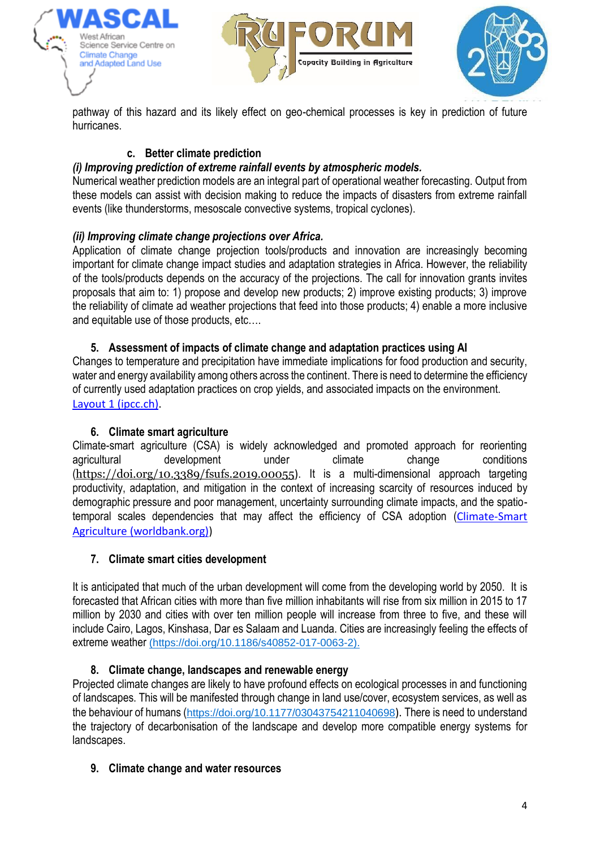





pathway of this hazard and its likely effect on geo-chemical processes is key in prediction of future hurricanes.

# **c. Better climate prediction**

## *(i) Improving prediction of extreme rainfall events by atmospheric models.*

Numerical weather prediction models are an integral part of operational weather forecasting. Output from these models can assist with decision making to reduce the impacts of disasters from extreme rainfall events (like thunderstorms, mesoscale convective systems, tropical cyclones).

# *(ii) Improving climate change projections over Africa.*

Application of climate change projection tools/products and innovation are increasingly becoming important for climate change impact studies and adaptation strategies in Africa. However, the reliability of the tools/products depends on the accuracy of the projections. The call for innovation grants invites proposals that aim to: 1) propose and develop new products; 2) improve existing products; 3) improve the reliability of climate ad weather projections that feed into those products; 4) enable a more inclusive and equitable use of those products, etc….

## **5. Assessment of impacts of climate change and adaptation practices using AI**

Changes to temperature and precipitation have immediate implications for food production and security, water and energy availability among others across the continent. There is need to determine the efficiency of currently used adaptation practices on crop yields, and associated impacts on the environment. [Layout 1 \(ipcc.ch\).](https://www.ipcc.ch/site/assets/uploads/2018/02/ar4-wg2-chapter17-1.pdf)

## **6. Climate smart agriculture**

Climate-smart agriculture (CSA) is widely acknowledged and promoted approach for reorienting agricultural development under climate change conditions (<https://doi.org/10.3389/fsufs.2019.00055>). It is a multi-dimensional approach targeting productivity, adaptation, and mitigation in the context of increasing scarcity of resources induced by demographic pressure and poor management, uncertainty surrounding climate impacts, and the spatiotemporal scales dependencies that may affect the efficiency of CSA adoption ([Climate-Smart](https://www.worldbank.org/en/topic/climate-smart-agriculture)  [Agriculture \(worldbank.org\)\)](https://www.worldbank.org/en/topic/climate-smart-agriculture)

## **7. Climate smart cities development**

It is anticipated that much of the urban development will come from the developing world by 2050. It is forecasted that African cities with more than five million inhabitants will rise from six million in 2015 to 17 million by 2030 and cities with over ten million people will increase from three to five, and these will include Cairo, Lagos, Kinshasa, Dar es Salaam and Luanda. Cities are increasingly feeling the effects of extreme weather (https://doi.org/10.1186/s40852-017-0063-2).

# **8. Climate change, landscapes and renewable energy**

Projected climate changes are likely to have profound effects on ecological processes in and functioning of landscapes. This will be manifested through change in land use/cover, ecosystem services, as well as the behaviour of humans ([https://doi.org/10.1177/03043754211040698](https://doi.org/10.1177%2F03043754211040698)). There is need to understand the trajectory of decarbonisation of the landscape and develop more compatible energy systems for landscapes.

# **9. Climate change and water resources**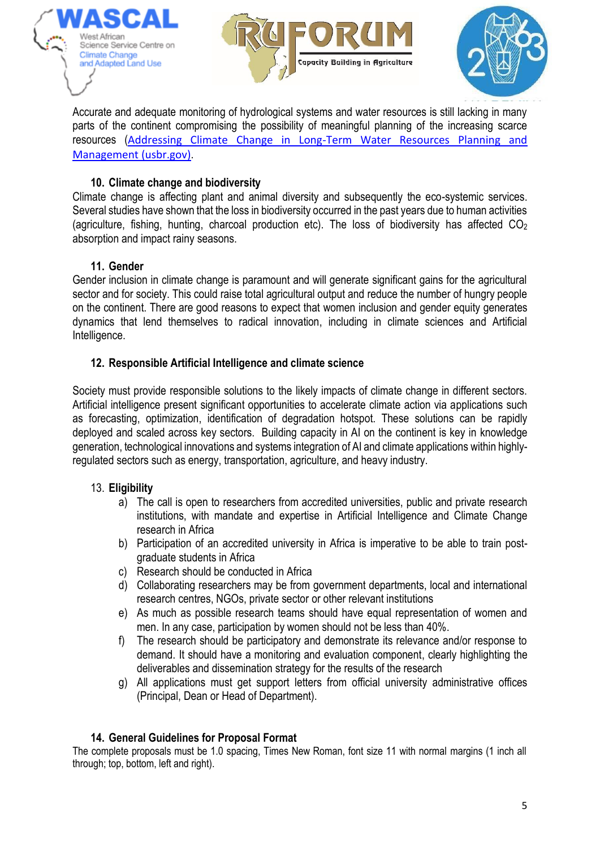





Accurate and adequate monitoring of hydrological systems and water resources is still lacking in many parts of the continent compromising the possibility of meaningful planning of the increasing scarce resources ([Addressing Climate Change in Long-Term Water Resources Planning and](https://www.usbr.gov/climate/userneeds/docs/LTdoc.pdf)  [Management \(usbr.gov\)](https://www.usbr.gov/climate/userneeds/docs/LTdoc.pdf).

# **10. Climate change and biodiversity**

Climate change is affecting plant and animal diversity and subsequently the eco-systemic services. Several studies have shown that the loss in biodiversity occurred in the past years due to human activities (agriculture, fishing, hunting, charcoal production etc). The loss of biodiversity has affected CO<sup>2</sup> absorption and impact rainy seasons.

# **11. Gender**

Gender inclusion in climate change is paramount and will generate significant gains for the agricultural sector and for society. This could raise total agricultural output and reduce the number of hungry people on the continent. There are good reasons to expect that women inclusion and gender equity generates dynamics that lend themselves to radical innovation, including in climate sciences and Artificial Intelligence.

# **12. Responsible Artificial Intelligence and climate science**

Society must provide responsible solutions to the likely impacts of climate change in different sectors. Artificial intelligence present significant opportunities to accelerate climate action via applications such as forecasting, optimization, identification of degradation hotspot. These solutions can be rapidly deployed and scaled across key sectors. Building capacity in AI on the continent is key in knowledge generation, technological innovations and systems integration of AI and climate applications within highlyregulated sectors such as energy, transportation, agriculture, and heavy industry.

# 13. **Eligibility**

- a) The call is open to researchers from accredited universities, public and private research institutions, with mandate and expertise in Artificial Intelligence and Climate Change research in Africa
- b) Participation of an accredited university in Africa is imperative to be able to train postgraduate students in Africa
- c) Research should be conducted in Africa
- d) Collaborating researchers may be from government departments, local and international research centres, NGOs, private sector or other relevant institutions
- e) As much as possible research teams should have equal representation of women and men. In any case, participation by women should not be less than 40%.
- f) The research should be participatory and demonstrate its relevance and/or response to demand. It should have a monitoring and evaluation component, clearly highlighting the deliverables and dissemination strategy for the results of the research
- g) All applications must get support letters from official university administrative offices (Principal, Dean or Head of Department).

# **14. General Guidelines for Proposal Format**

The complete proposals must be 1.0 spacing, Times New Roman, font size 11 with normal margins (1 inch all through; top, bottom, left and right).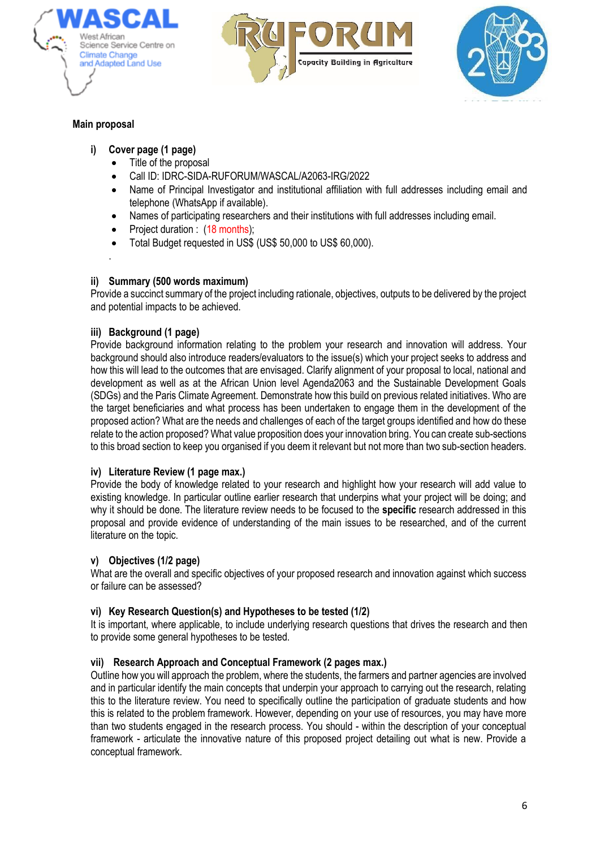





## **Main proposal**

.

- **i) Cover page (1 page)**
	- Title of the proposal
	- Call ID: IDRC-SIDA-RUFORUM/WASCAL/A2063-IRG/2022
	- Name of Principal Investigator and institutional affiliation with full addresses including email and telephone (WhatsApp if available).
	- Names of participating researchers and their institutions with full addresses including email.
	- Project duration : (18 months);
	- Total Budget requested in US\$ (US\$ 50,000 to US\$ 60,000).

### **ii) Summary (500 words maximum)**

Provide a succinct summary of the project including rationale, objectives, outputs to be delivered by the project and potential impacts to be achieved.

### **iii) Background (1 page)**

Provide background information relating to the problem your research and innovation will address. Your background should also introduce readers/evaluators to the issue(s) which your project seeks to address and how this will lead to the outcomes that are envisaged. Clarify alignment of your proposal to local, national and development as well as at the African Union level Agenda2063 and the Sustainable Development Goals (SDGs) and the Paris Climate Agreement. Demonstrate how this build on previous related initiatives. Who are the target beneficiaries and what process has been undertaken to engage them in the development of the proposed action? What are the needs and challenges of each of the target groups identified and how do these relate to the action proposed? What value proposition does your innovation bring. You can create sub-sections to this broad section to keep you organised if you deem it relevant but not more than two sub-section headers.

### **iv) Literature Review (1 page max.)**

Provide the body of knowledge related to your research and highlight how your research will add value to existing knowledge. In particular outline earlier research that underpins what your project will be doing; and why it should be done. The literature review needs to be focused to the **specific** research addressed in this proposal and provide evidence of understanding of the main issues to be researched, and of the current literature on the topic.

### **v) Objectives (1/2 page)**

What are the overall and specific objectives of your proposed research and innovation against which success or failure can be assessed?

### **vi) Key Research Question(s) and Hypotheses to be tested (1/2)**

It is important, where applicable, to include underlying research questions that drives the research and then to provide some general hypotheses to be tested.

### **vii) Research Approach and Conceptual Framework (2 pages max.)**

Outline how you will approach the problem, where the students, the farmers and partner agencies are involved and in particular identify the main concepts that underpin your approach to carrying out the research, relating this to the literature review. You need to specifically outline the participation of graduate students and how this is related to the problem framework. However, depending on your use of resources, you may have more than two students engaged in the research process. You should - within the description of your conceptual framework - articulate the innovative nature of this proposed project detailing out what is new. Provide a conceptual framework.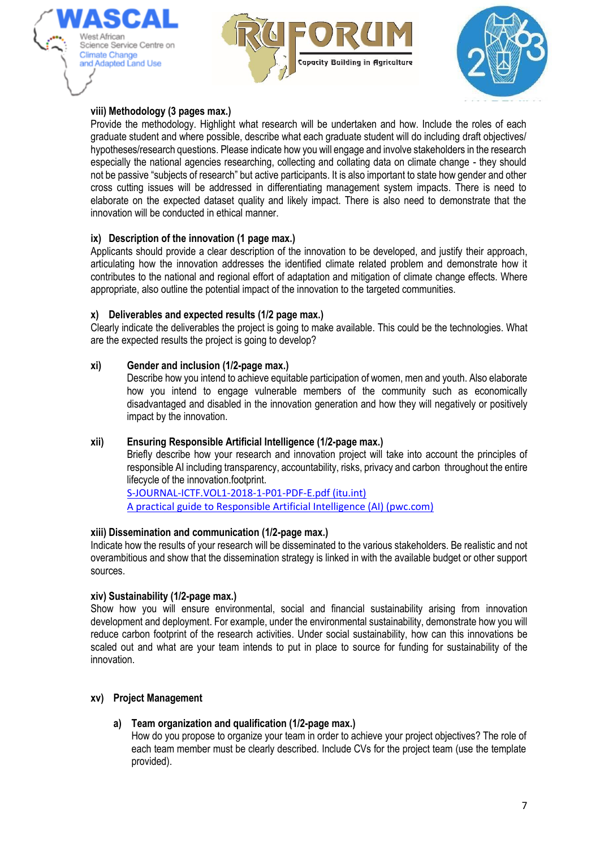





## **viii) Methodology (3 pages max.)**

Provide the methodology. Highlight what research will be undertaken and how. Include the roles of each graduate student and where possible, describe what each graduate student will do including draft objectives/ hypotheses/research questions. Please indicate how you will engage and involve stakeholders in the research especially the national agencies researching, collecting and collating data on climate change - they should not be passive "subjects of research" but active participants. It is also important to state how gender and other cross cutting issues will be addressed in differentiating management system impacts. There is need to elaborate on the expected dataset quality and likely impact. There is also need to demonstrate that the innovation will be conducted in ethical manner.

### **ix) Description of the innovation (1 page max.)**

Applicants should provide a clear description of the innovation to be developed, and justify their approach, articulating how the innovation addresses the identified climate related problem and demonstrate how it contributes to the national and regional effort of adaptation and mitigation of climate change effects. Where appropriate, also outline the potential impact of the innovation to the targeted communities.

### **x) Deliverables and expected results (1/2 page max.)**

Clearly indicate the deliverables the project is going to make available. This could be the technologies. What are the expected results the project is going to develop?

### **xi) Gender and inclusion (1/2-page max.)**

Describe how you intend to achieve equitable participation of women, men and youth. Also elaborate how you intend to engage vulnerable members of the community such as economically disadvantaged and disabled in the innovation generation and how they will negatively or positively impact by the innovation.

### **xii) Ensuring Responsible Artificial Intelligence (1/2-page max.)**

Briefly describe how your research and innovation project will take into account the principles of responsible AI including transparency, accountability, risks, privacy and carbon throughout the entire lifecycle of the innovation.footprint.

[S-JOURNAL-ICTF.VOL1-2018-1-P01-PDF-E.pdf \(itu.int\)](https://www.itu.int/dms_pub/itu-s/opb/journal/S-JOURNAL-ICTF.VOL1-2018-1-P01-PDF-E.pdf) [A practical guide to Responsible Artificial Intelligence \(AI\) \(pwc.com\)](https://www.pwc.com/gx/en/issues/data-and-analytics/artificial-intelligence/what-is-responsible-ai/responsible-ai-practical-guide.pdf)

### **xiii) Dissemination and communication (1/2-page max.)**

Indicate how the results of your research will be disseminated to the various stakeholders. Be realistic and not overambitious and show that the dissemination strategy is linked in with the available budget or other support sources.

### **xiv) Sustainability (1/2-page max.)**

Show how you will ensure environmental, social and financial sustainability arising from innovation development and deployment. For example, under the environmental sustainability, demonstrate how you will reduce carbon footprint of the research activities. Under social sustainability, how can this innovations be scaled out and what are your team intends to put in place to source for funding for sustainability of the innovation.

### **xv) Project Management**

## **a) Team organization and qualification (1/2-page max.)**

How do you propose to organize your team in order to achieve your project objectives? The role of each team member must be clearly described. Include CVs for the project team (use the template provided).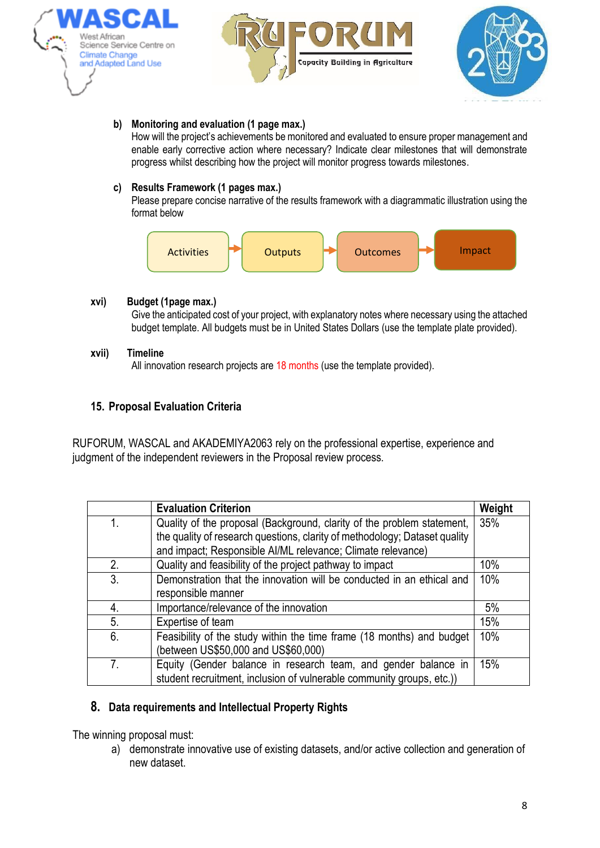





### **b) Monitoring and evaluation (1 page max.)**

How will the project's achievements be monitored and evaluated to ensure proper management and enable early corrective action where necessary? Indicate clear milestones that will demonstrate progress whilst describing how the project will monitor progress towards milestones.

### **c) Results Framework (1 pages max.)**

Please prepare concise narrative of the results framework with a diagrammatic illustration using the format below



### **xvi) Budget (1page max.)**

Give the anticipated cost of your project, with explanatory notes where necessary using the attached budget template. All budgets must be in United States Dollars (use the template plate provided).

#### **xvii) Timeline**

All innovation research projects are 18 months (use the template provided).

## **15. Proposal Evaluation Criteria**

RUFORUM, WASCAL and AKADEMIYA2063 rely on the professional expertise, experience and judgment of the independent reviewers in the Proposal review process.

|                | <b>Evaluation Criterion</b>                                                | Weight |
|----------------|----------------------------------------------------------------------------|--------|
| 1.             | Quality of the proposal (Background, clarity of the problem statement,     | 35%    |
|                | the quality of research questions, clarity of methodology; Dataset quality |        |
|                | and impact; Responsible Al/ML relevance; Climate relevance)                |        |
| 2.             | Quality and feasibility of the project pathway to impact                   | 10%    |
| 3.             | Demonstration that the innovation will be conducted in an ethical and      | 10%    |
|                | responsible manner                                                         |        |
| 4.             | Importance/relevance of the innovation                                     | 5%     |
| 5.             | Expertise of team                                                          | 15%    |
| 6.             | Feasibility of the study within the time frame (18 months) and budget      | 10%    |
|                | (between US\$50,000 and US\$60,000)                                        |        |
| 7 <sub>1</sub> | Equity (Gender balance in research team, and gender balance in             | 15%    |
|                | student recruitment, inclusion of vulnerable community groups, etc.))      |        |

## **8. Data requirements and Intellectual Property Rights**

The winning proposal must:

a) demonstrate innovative use of existing datasets, and/or active collection and generation of new dataset.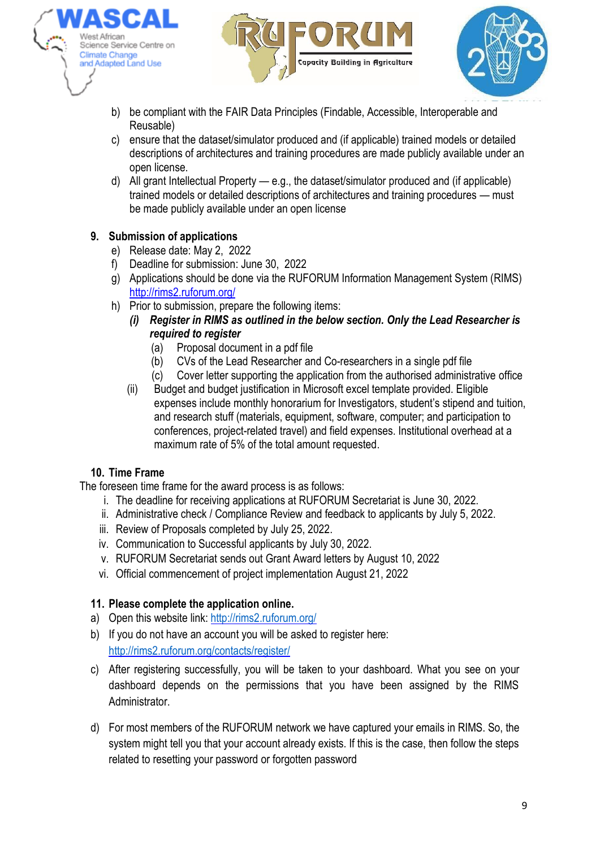





- b) be compliant with the [FAIR Data Principles](about:blank) (Findable, Accessible, Interoperable and Reusable)
- c) ensure that the dataset/simulator produced and (if applicable) trained models or detailed descriptions of architectures and training procedures are made publicly available under an open license.
- d) All grant Intellectual Property e.g., the dataset/simulator produced and (if applicable) trained models or detailed descriptions of architectures and training procedures — must be made publicly available under an open license

# **9. Submission of applications**

- e) Release date: May 2, 2022
- f) Deadline for submission: June 30, 2022
- g) Applications should be done via the RUFORUM Information Management System (RIMS) [http://rims2.ruforum.org/](about:blank)
- h) Prior to submission, prepare the following items:
	- *(i) Register in RIMS as outlined in the below section. Only the Lead Researcher is required to register*
		- (a) Proposal document in a pdf file
		- (b) CVs of the Lead Researcher and Co-researchers in a single pdf file
		- (c) Cover letter supporting the application from the authorised administrative office
	- (ii) Budget and budget justification in Microsoft excel template provided. Eligible expenses include monthly honorarium for Investigators, student's stipend and tuition, and research stuff (materials, equipment, software, computer; and participation to conferences, project-related travel) and field expenses. Institutional overhead at a maximum rate of 5% of the total amount requested.

# **10. Time Frame**

The foreseen time frame for the award process is as follows:

- i. The deadline for receiving applications at RUFORUM Secretariat is June 30, 2022.
- ii. Administrative check / Compliance Review and feedback to applicants by July 5, 2022.
- iii. Review of Proposals completed by July 25, 2022.
- iv. Communication to Successful applicants by July 30, 2022.
- v. RUFORUM Secretariat sends out Grant Award letters by August 10, 2022
- vi. Official commencement of project implementation August 21, 2022

# **11. Please complete the application online.**

- a) Open this website link: [http://rims2.ruforum.org/](about:blank)
- b) If you do not have an account you will be asked to register here: [http://rims2.ruforum.org/contacts/register/](about:blank)
- c) After registering successfully, you will be taken to your dashboard. What you see on your dashboard depends on the permissions that you have been assigned by the RIMS **Administrator**
- d) For most members of the RUFORUM network we have captured your emails in RIMS. So, the system might tell you that your account already exists. If this is the case, then follow the steps related to resetting your password or forgotten password